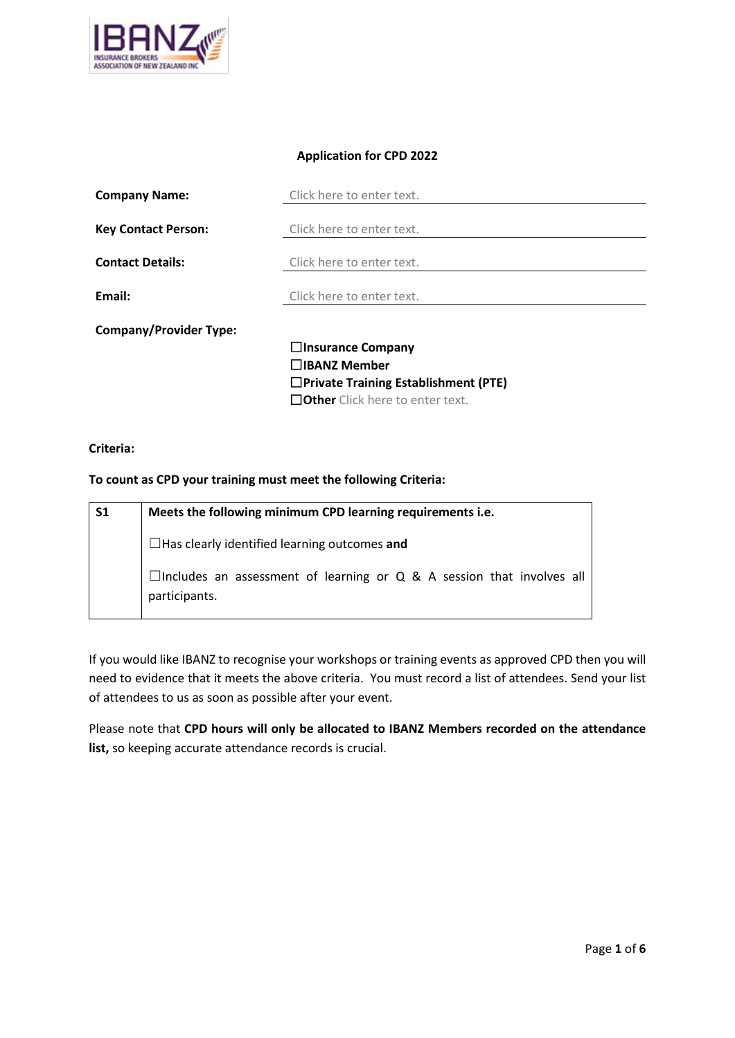

### **Application for CPD 2022**

| <b>Company Name:</b>          | Click here to enter text.                   |  |
|-------------------------------|---------------------------------------------|--|
|                               |                                             |  |
| <b>Key Contact Person:</b>    | Click here to enter text.                   |  |
| <b>Contact Details:</b>       | Click here to enter text.                   |  |
|                               |                                             |  |
| Email:                        | Click here to enter text.                   |  |
| <b>Company/Provider Type:</b> |                                             |  |
|                               | $\Box$ Insurance Company                    |  |
|                               | □IBANZ Member                               |  |
|                               | $\Box$ Private Training Establishment (PTE) |  |
|                               | $\Box$ Other Click here to enter text.      |  |

### **Criteria:**

### **To count as CPD your training must meet the following Criteria:**

| S <sub>1</sub> | Meets the following minimum CPD learning requirements i.e.                                             |
|----------------|--------------------------------------------------------------------------------------------------------|
|                | $\Box$ Has clearly identified learning outcomes and                                                    |
|                | $\Box$ Includes an assessment of learning or $\Diamond$ & A session that involves all<br>participants. |

If you would like IBANZ to recognise your workshops or training events as approved CPD then you will need to evidence that it meets the above criteria. You must record a list of attendees. Send your list of attendees to us as soon as possible after your event.

Please note that **CPD hours will only be allocated to IBANZ Members recorded on the attendance list,** so keeping accurate attendance records is crucial.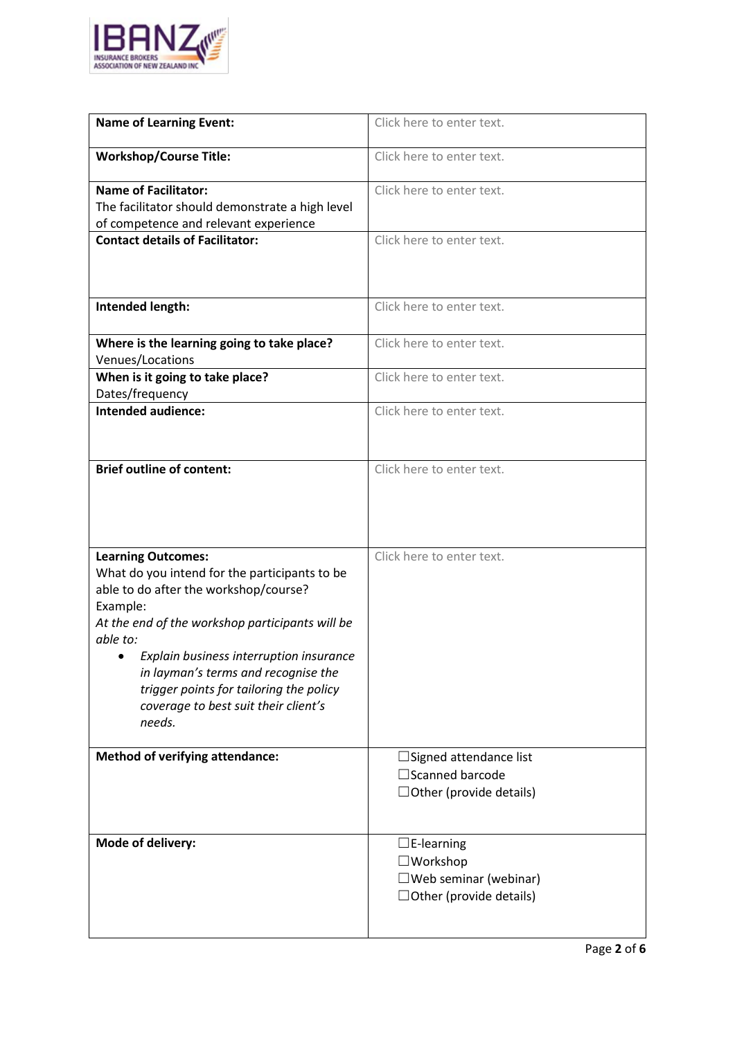

| <b>Name of Learning Event:</b>                       | Click here to enter text.                                         |
|------------------------------------------------------|-------------------------------------------------------------------|
| <b>Workshop/Course Title:</b>                        | Click here to enter text.                                         |
| <b>Name of Facilitator:</b>                          | Click here to enter text.                                         |
| The facilitator should demonstrate a high level      |                                                                   |
| of competence and relevant experience                |                                                                   |
| <b>Contact details of Facilitator:</b>               | Click here to enter text.                                         |
|                                                      |                                                                   |
| Intended length:                                     | Click here to enter text.                                         |
| Where is the learning going to take place?           | Click here to enter text.                                         |
| Venues/Locations                                     |                                                                   |
| When is it going to take place?                      | Click here to enter text.                                         |
| Dates/frequency                                      |                                                                   |
| <b>Intended audience:</b>                            | Click here to enter text.                                         |
|                                                      |                                                                   |
| <b>Brief outline of content:</b>                     | Click here to enter text.                                         |
|                                                      |                                                                   |
| <b>Learning Outcomes:</b>                            | Click here to enter text.                                         |
| What do you intend for the participants to be        |                                                                   |
| able to do after the workshop/course?                |                                                                   |
| Example:                                             |                                                                   |
| At the end of the workshop participants will be      |                                                                   |
|                                                      |                                                                   |
| able to:                                             |                                                                   |
| Explain business interruption insurance<br>$\bullet$ |                                                                   |
| in layman's terms and recognise the                  |                                                                   |
| trigger points for tailoring the policy              |                                                                   |
| coverage to best suit their client's                 |                                                                   |
| needs.                                               |                                                                   |
|                                                      |                                                                   |
| <b>Method of verifying attendance:</b>               | Signed attendance list                                            |
|                                                      | $\Box$ Scanned barcode                                            |
|                                                      | $\Box$ Other (provide details)                                    |
|                                                      |                                                                   |
| Mode of delivery:                                    |                                                                   |
|                                                      | $\square$ E-learning                                              |
|                                                      | $\square$ Workshop                                                |
|                                                      | $\square$ Web seminar (webinar)<br>$\Box$ Other (provide details) |
|                                                      |                                                                   |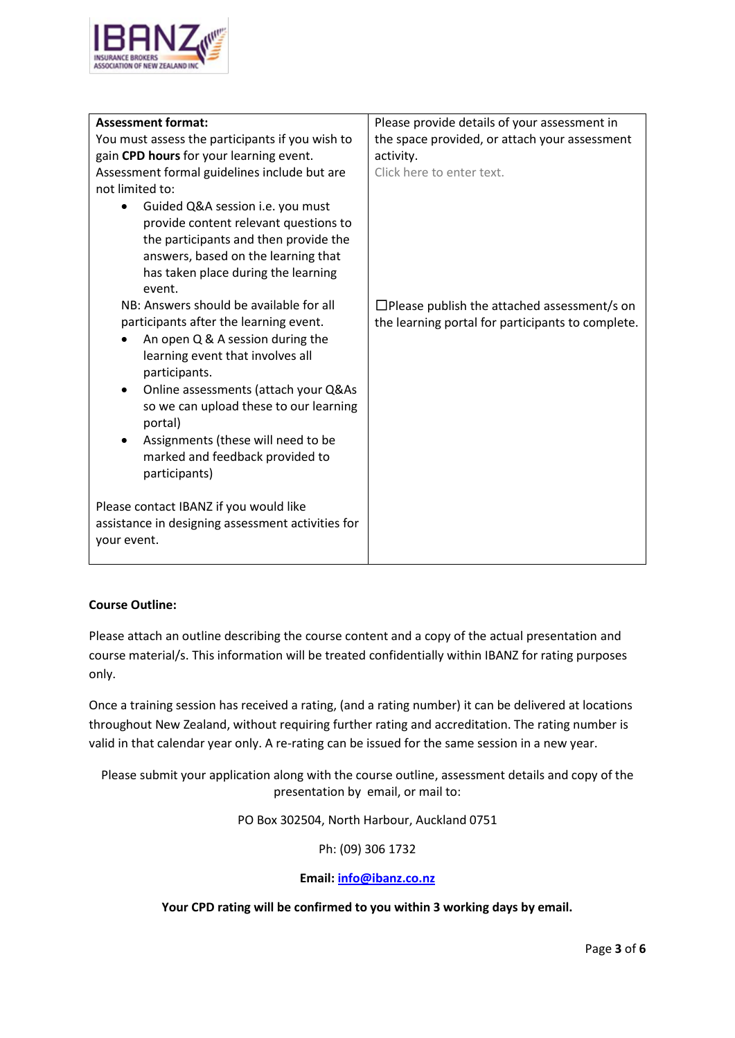

| <b>Assessment format:</b>                                                                                                                                                                                                                                                                                                                                                      | Please provide details of your assessment in                                                            |
|--------------------------------------------------------------------------------------------------------------------------------------------------------------------------------------------------------------------------------------------------------------------------------------------------------------------------------------------------------------------------------|---------------------------------------------------------------------------------------------------------|
| You must assess the participants if you wish to                                                                                                                                                                                                                                                                                                                                | the space provided, or attach your assessment                                                           |
| gain CPD hours for your learning event.                                                                                                                                                                                                                                                                                                                                        | activity.                                                                                               |
| Assessment formal guidelines include but are                                                                                                                                                                                                                                                                                                                                   | Click here to enter text.                                                                               |
| not limited to:                                                                                                                                                                                                                                                                                                                                                                |                                                                                                         |
| Guided Q&A session i.e. you must<br>$\bullet$<br>provide content relevant questions to<br>the participants and then provide the<br>answers, based on the learning that<br>has taken place during the learning<br>event.                                                                                                                                                        |                                                                                                         |
| NB: Answers should be available for all<br>participants after the learning event.<br>An open Q & A session during the<br>learning event that involves all<br>participants.<br>Online assessments (attach your Q&As<br>$\bullet$<br>so we can upload these to our learning<br>portal)<br>Assignments (these will need to be<br>marked and feedback provided to<br>participants) | $\Box$ Please publish the attached assessment/s on<br>the learning portal for participants to complete. |
| Please contact IBANZ if you would like<br>assistance in designing assessment activities for<br>your event.                                                                                                                                                                                                                                                                     |                                                                                                         |

# **Course Outline:**

Please attach an outline describing the course content and a copy of the actual presentation and course material/s. This information will be treated confidentially within IBANZ for rating purposes only.

Once a training session has received a rating, (and a rating number) it can be delivered at locations throughout New Zealand, without requiring further rating and accreditation. The rating number is valid in that calendar year only. A re-rating can be issued for the same session in a new year.

Please submit your application along with the course outline, assessment details and copy of the presentation by email, or mail to:

PO Box 302504, North Harbour, Auckland 0751

Ph: (09) 306 1732

### **Email[: info@ibanz.co.nz](mailto:info@ibanz.co.nz)**

**Your CPD rating will be confirmed to you within 3 working days by email.**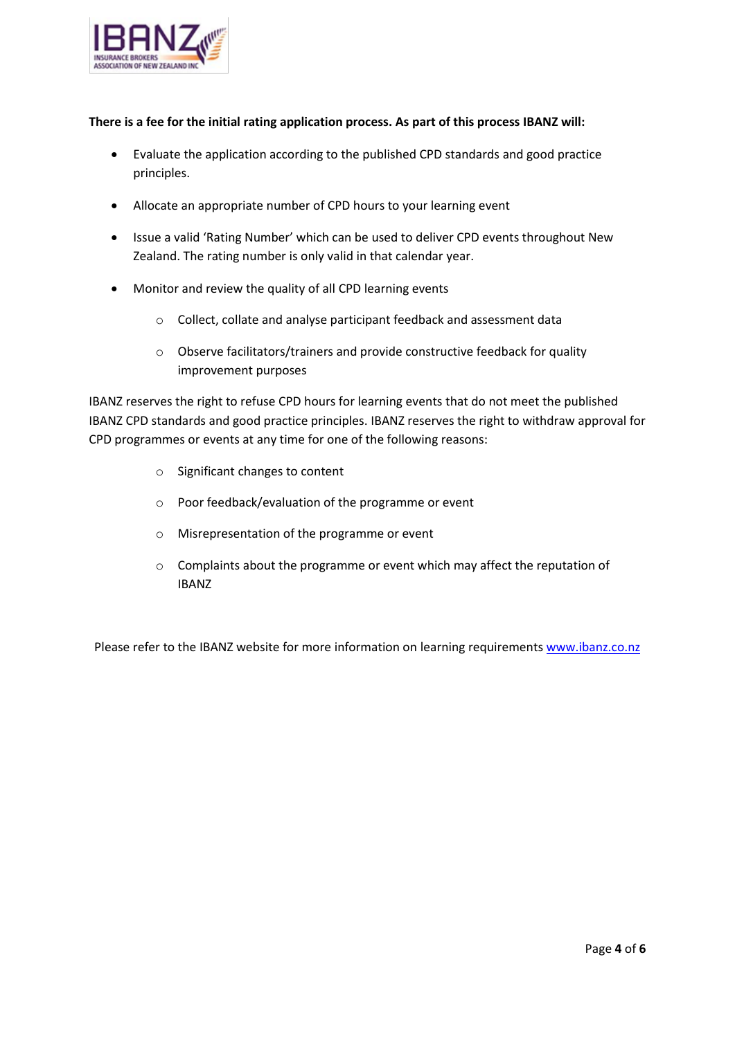

### **There is a fee for the initial rating application process. As part of this process IBANZ will:**

- Evaluate the application according to the published CPD standards and good practice principles.
- Allocate an appropriate number of CPD hours to your learning event
- Issue a valid 'Rating Number' which can be used to deliver CPD events throughout New Zealand. The rating number is only valid in that calendar year.
- Monitor and review the quality of all CPD learning events
	- o Collect, collate and analyse participant feedback and assessment data
	- o Observe facilitators/trainers and provide constructive feedback for quality improvement purposes

IBANZ reserves the right to refuse CPD hours for learning events that do not meet the published IBANZ CPD standards and good practice principles. IBANZ reserves the right to withdraw approval for CPD programmes or events at any time for one of the following reasons:

- o Significant changes to content
- o Poor feedback/evaluation of the programme or event
- o Misrepresentation of the programme or event
- o Complaints about the programme or event which may affect the reputation of IBANZ

Please refer to the IBANZ website for more information on learning requirement[s www.ibanz.co.nz](http://www.ibanz.co.nz/)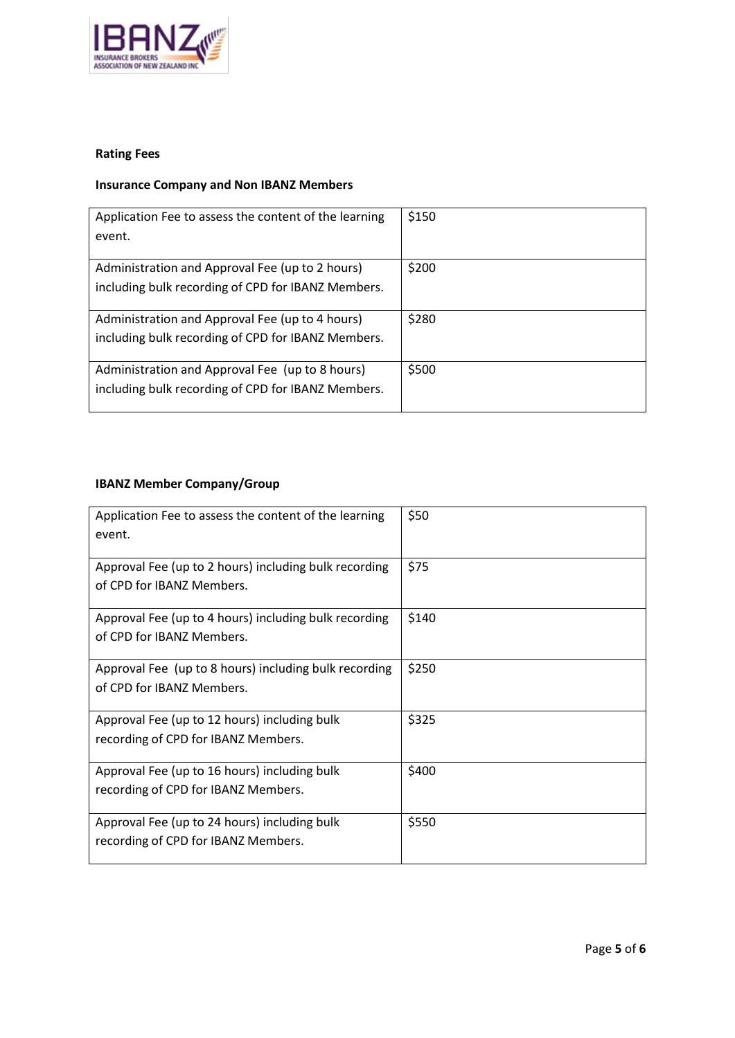

# **Rating Fees**

# **Insurance Company and Non IBANZ Members**

| Application Fee to assess the content of the learning | \$150 |
|-------------------------------------------------------|-------|
| event.                                                |       |
|                                                       |       |
| Administration and Approval Fee (up to 2 hours)       | \$200 |
| including bulk recording of CPD for IBANZ Members.    |       |
|                                                       |       |
| Administration and Approval Fee (up to 4 hours)       | \$280 |
| including bulk recording of CPD for IBANZ Members.    |       |
|                                                       |       |
| Administration and Approval Fee (up to 8 hours)       | \$500 |
| including bulk recording of CPD for IBANZ Members.    |       |
|                                                       |       |

# **IBANZ Member Company/Group**

| Application Fee to assess the content of the learning<br>event. | \$50  |
|-----------------------------------------------------------------|-------|
| Approval Fee (up to 2 hours) including bulk recording           | \$75  |
| of CPD for IBANZ Members.                                       |       |
| Approval Fee (up to 4 hours) including bulk recording           | \$140 |
| of CPD for IBANZ Members.                                       |       |
| Approval Fee (up to 8 hours) including bulk recording           | \$250 |
| of CPD for IBANZ Members.                                       |       |
| Approval Fee (up to 12 hours) including bulk                    | \$325 |
| recording of CPD for IBANZ Members.                             |       |
| Approval Fee (up to 16 hours) including bulk                    | \$400 |
| recording of CPD for IBANZ Members.                             |       |
| Approval Fee (up to 24 hours) including bulk                    | \$550 |
| recording of CPD for IBANZ Members.                             |       |